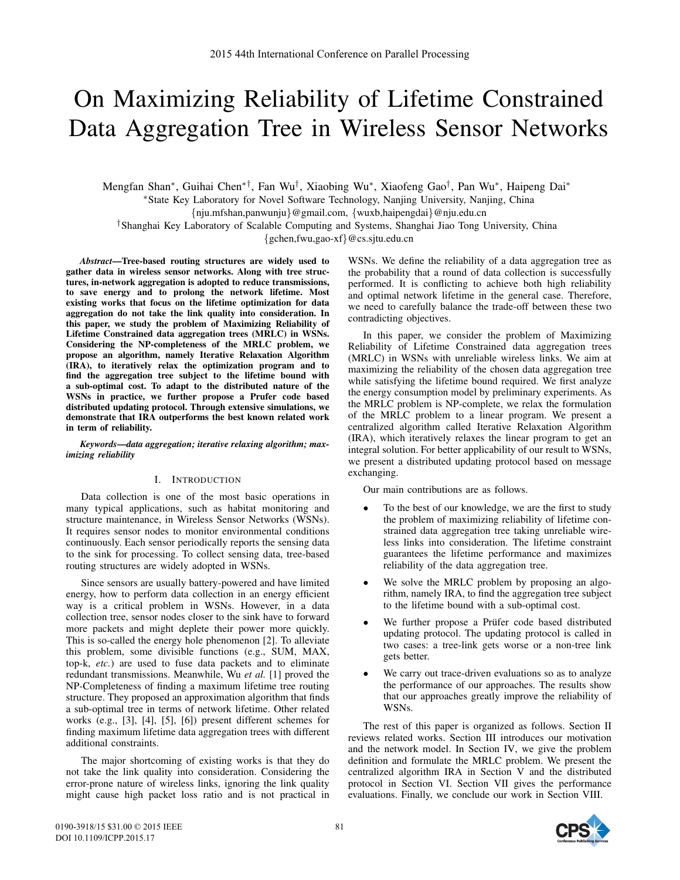# On Maximizing Reliability of Lifetime Constrained Data Aggregation Tree in Wireless Sensor Networks

Mengfan Shan∗, Guihai Chen∗†, Fan Wu†, Xiaobing Wu∗, Xiaofeng Gao†, Pan Wu∗, Haipeng Dai∗

∗State Key Laboratory for Novel Software Technology, Nanjing University, Nanjing, China

{nju.mfshan,panwunju}@gmail.com, {wuxb,haipengdai}@nju.edu.cn

†Shanghai Key Laboratory of Scalable Computing and Systems, Shanghai Jiao Tong University, China

{gchen,fwu,gao-xf}@cs.sjtu.edu.cn

*Abstract*—Tree-based routing structures are widely used to gather data in wireless sensor networks. Along with tree structures, in-network aggregation is adopted to reduce transmissions, to save energy and to prolong the network lifetime. Most existing works that focus on the lifetime optimization for data aggregation do not take the link quality into consideration. In this paper, we study the problem of Maximizing Reliability of Lifetime Constrained data aggregation trees (MRLC) in WSNs. Considering the NP-completeness of the MRLC problem, we propose an algorithm, namely Iterative Relaxation Algorithm (IRA), to iteratively relax the optimization program and to find the aggregation tree subject to the lifetime bound with a sub-optimal cost. To adapt to the distributed nature of the WSNs in practice, we further propose a Prufer code based distributed updating protocol. Through extensive simulations, we demonstrate that IRA outperforms the best known related work in term of reliability.

*Keywords*—*data aggregation; iterative relaxing algorithm; maximizing reliability*

## I. INTRODUCTION

Data collection is one of the most basic operations in many typical applications, such as habitat monitoring and structure maintenance, in Wireless Sensor Networks (WSNs). It requires sensor nodes to monitor environmental conditions continuously. Each sensor periodically reports the sensing data to the sink for processing. To collect sensing data, tree-based routing structures are widely adopted in WSNs.

Since sensors are usually battery-powered and have limited energy, how to perform data collection in an energy efficient way is a critical problem in WSNs. However, in a data collection tree, sensor nodes closer to the sink have to forward more packets and might deplete their power more quickly. This is so-called the energy hole phenomenon [2]. To alleviate this problem, some divisible functions (e.g., SUM, MAX, top-k, *etc.*) are used to fuse data packets and to eliminate redundant transmissions. Meanwhile, Wu *et al.* [1] proved the NP-Completeness of finding a maximum lifetime tree routing structure. They proposed an approximation algorithm that finds a sub-optimal tree in terms of network lifetime. Other related works (e.g., [3], [4], [5], [6]) present different schemes for finding maximum lifetime data aggregation trees with different additional constraints.

The major shortcoming of existing works is that they do not take the link quality into consideration. Considering the error-prone nature of wireless links, ignoring the link quality might cause high packet loss ratio and is not practical in

WSNs. We define the reliability of a data aggregation tree as the probability that a round of data collection is successfully performed. It is conflicting to achieve both high reliability and optimal network lifetime in the general case. Therefore, we need to carefully balance the trade-off between these two contradicting objectives.

In this paper, we consider the problem of Maximizing Reliability of Lifetime Constrained data aggregation trees (MRLC) in WSNs with unreliable wireless links. We aim at maximizing the reliability of the chosen data aggregation tree while satisfying the lifetime bound required. We first analyze the energy consumption model by preliminary experiments. As the MRLC problem is NP-complete, we relax the formulation of the MRLC problem to a linear program. We present a centralized algorithm called Iterative Relaxation Algorithm (IRA), which iteratively relaxes the linear program to get an integral solution. For better applicability of our result to WSNs, we present a distributed updating protocol based on message exchanging.

Our main contributions are as follows.

- To the best of our knowledge, we are the first to study the problem of maximizing reliability of lifetime constrained data aggregation tree taking unreliable wireless links into consideration. The lifetime constraint guarantees the lifetime performance and maximizes reliability of the data aggregation tree.
- We solve the MRLC problem by proposing an algorithm, namely IRA, to find the aggregation tree subject to the lifetime bound with a sub-optimal cost.
- We further propose a Prüfer code based distributed updating protocol. The updating protocol is called in two cases: a tree-link gets worse or a non-tree link gets better.
- We carry out trace-driven evaluations so as to analyze the performance of our approaches. The results show that our approaches greatly improve the reliability of WSNs.

The rest of this paper is organized as follows. Section II reviews related works. Section III introduces our motivation and the network model. In Section IV, we give the problem definition and formulate the MRLC problem. We present the centralized algorithm IRA in Section V and the distributed protocol in Section VI. Section VII gives the performance evaluations. Finally, we conclude our work in Section VIII.

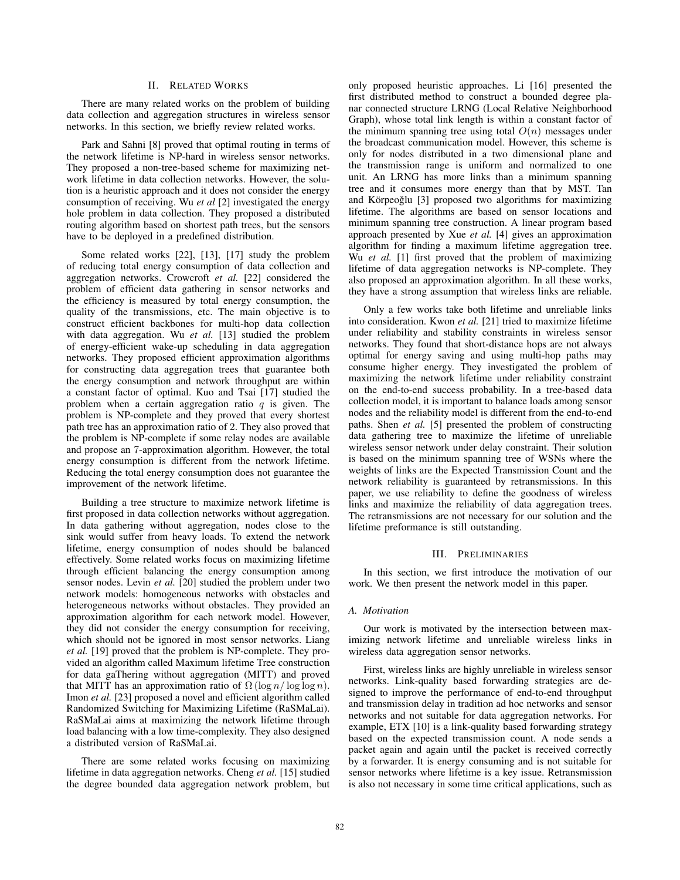## II. RELATED WORKS

There are many related works on the problem of building data collection and aggregation structures in wireless sensor networks. In this section, we briefly review related works.

Park and Sahni [8] proved that optimal routing in terms of the network lifetime is NP-hard in wireless sensor networks. They proposed a non-tree-based scheme for maximizing network lifetime in data collection networks. However, the solution is a heuristic approach and it does not consider the energy consumption of receiving. Wu *et al* [2] investigated the energy hole problem in data collection. They proposed a distributed routing algorithm based on shortest path trees, but the sensors have to be deployed in a predefined distribution.

Some related works [22], [13], [17] study the problem of reducing total energy consumption of data collection and aggregation networks. Crowcroft *et al.* [22] considered the problem of efficient data gathering in sensor networks and the efficiency is measured by total energy consumption, the quality of the transmissions, etc. The main objective is to construct efficient backbones for multi-hop data collection with data aggregation. Wu *et al.* [13] studied the problem of energy-efficient wake-up scheduling in data aggregation networks. They proposed efficient approximation algorithms for constructing data aggregation trees that guarantee both the energy consumption and network throughput are within a constant factor of optimal. Kuo and Tsai [17] studied the problem when a certain aggregation ratio  $q$  is given. The problem is NP-complete and they proved that every shortest path tree has an approximation ratio of 2. They also proved that the problem is NP-complete if some relay nodes are available and propose an 7-approximation algorithm. However, the total energy consumption is different from the network lifetime. Reducing the total energy consumption does not guarantee the improvement of the network lifetime.

Building a tree structure to maximize network lifetime is first proposed in data collection networks without aggregation. In data gathering without aggregation, nodes close to the sink would suffer from heavy loads. To extend the network lifetime, energy consumption of nodes should be balanced effectively. Some related works focus on maximizing lifetime through efficient balancing the energy consumption among sensor nodes. Levin *et al.* [20] studied the problem under two network models: homogeneous networks with obstacles and heterogeneous networks without obstacles. They provided an approximation algorithm for each network model. However, they did not consider the energy consumption for receiving, which should not be ignored in most sensor networks. Liang *et al.* [19] proved that the problem is NP-complete. They provided an algorithm called Maximum lifetime Tree construction for data gaThering without aggregation (MITT) and proved that MITT has an approximation ratio of  $\Omega(\log n / \log \log n)$ . Imon *et al.* [23] proposed a novel and efficient algorithm called Randomized Switching for Maximizing Lifetime (RaSMaLai). RaSMaLai aims at maximizing the network lifetime through load balancing with a low time-complexity. They also designed a distributed version of RaSMaLai.

There are some related works focusing on maximizing lifetime in data aggregation networks. Cheng *et al.* [15] studied the degree bounded data aggregation network problem, but only proposed heuristic approaches. Li [16] presented the first distributed method to construct a bounded degree planar connected structure LRNG (Local Relative Neighborhood Graph), whose total link length is within a constant factor of the minimum spanning tree using total  $O(n)$  messages under the broadcast communication model. However, this scheme is only for nodes distributed in a two dimensional plane and the transmission range is uniform and normalized to one unit. An LRNG has more links than a minimum spanning tree and it consumes more energy than that by MST. Tan and Körpeoğlu  $\lceil 3 \rceil$  proposed two algorithms for maximizing lifetime. The algorithms are based on sensor locations and minimum spanning tree construction. A linear program based approach presented by Xue *et al.* [4] gives an approximation algorithm for finding a maximum lifetime aggregation tree. Wu *et al.* [1] first proved that the problem of maximizing lifetime of data aggregation networks is NP-complete. They also proposed an approximation algorithm. In all these works, they have a strong assumption that wireless links are reliable.

Only a few works take both lifetime and unreliable links into consideration. Kwon *et al.* [21] tried to maximize lifetime under reliability and stability constraints in wireless sensor networks. They found that short-distance hops are not always optimal for energy saving and using multi-hop paths may consume higher energy. They investigated the problem of maximizing the network lifetime under reliability constraint on the end-to-end success probability. In a tree-based data collection model, it is important to balance loads among sensor nodes and the reliability model is different from the end-to-end paths. Shen *et al.* [5] presented the problem of constructing data gathering tree to maximize the lifetime of unreliable wireless sensor network under delay constraint. Their solution is based on the minimum spanning tree of WSNs where the weights of links are the Expected Transmission Count and the network reliability is guaranteed by retransmissions. In this paper, we use reliability to define the goodness of wireless links and maximize the reliability of data aggregation trees. The retransmissions are not necessary for our solution and the lifetime preformance is still outstanding.

#### III. PRELIMINARIES

In this section, we first introduce the motivation of our work. We then present the network model in this paper.

## *A. Motivation*

Our work is motivated by the intersection between maximizing network lifetime and unreliable wireless links in wireless data aggregation sensor networks.

First, wireless links are highly unreliable in wireless sensor networks. Link-quality based forwarding strategies are designed to improve the performance of end-to-end throughput and transmission delay in tradition ad hoc networks and sensor networks and not suitable for data aggregation networks. For example, ETX [10] is a link-quality based forwarding strategy based on the expected transmission count. A node sends a packet again and again until the packet is received correctly by a forwarder. It is energy consuming and is not suitable for sensor networks where lifetime is a key issue. Retransmission is also not necessary in some time critical applications, such as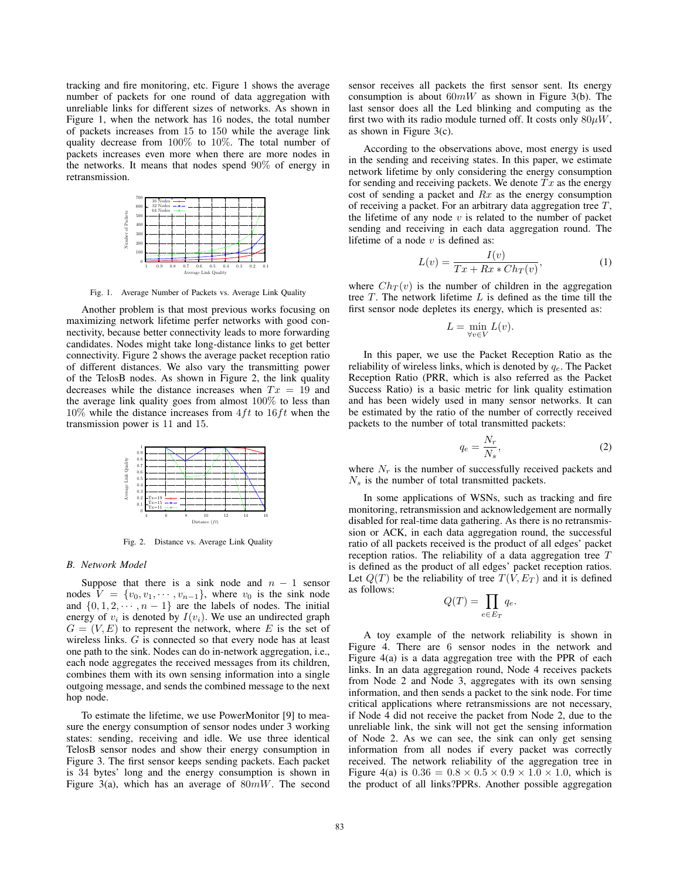tracking and fire monitoring, etc. Figure 1 shows the average number of packets for one round of data aggregation with unreliable links for different sizes of networks. As shown in Figure 1, when the network has 16 nodes, the total number of packets increases from 15 to 150 while the average link quality decrease from 100% to 10%. The total number of packets increases even more when there are more nodes in the networks. It means that nodes spend 90% of energy in retransmission.



Fig. 1. Average Number of Packets vs. Average Link Quality

Another problem is that most previous works focusing on maximizing network lifetime perfer networks with good connectivity, because better connectivity leads to more forwarding candidates. Nodes might take long-distance links to get better connectivity. Figure 2 shows the average packet reception ratio of different distances. We also vary the transmitting power of the TelosB nodes. As shown in Figure 2, the link quality decreases while the distance increases when  $Tx = 19$  and the average link quality goes from almost 100% to less than  $10\%$  while the distance increases from  $4ft$  to  $16ft$  when the transmission power is 11 and 15.



Fig. 2. Distance vs. Average Link Quality

#### *B. Network Model*

Suppose that there is a sink node and  $n - 1$  sensor nodes  $V = \{v_0, v_1, \dots, v_{n-1}\}$ , where  $v_0$  is the sink node and  $\{0, 1, 2, \dots, n-1\}$  are the labels of nodes. The initial energy of  $v_i$  is denoted by  $I(v_i)$ . We use an undirected graph  $G = (V, E)$  to represent the network, where E is the set of wireless links. G is connected so that every node has at least one path to the sink. Nodes can do in-network aggregation, i.e., each node aggregates the received messages from its children, combines them with its own sensing information into a single outgoing message, and sends the combined message to the next hop node.

To estimate the lifetime, we use PowerMonitor [9] to measure the energy consumption of sensor nodes under 3 working states: sending, receiving and idle. We use three identical TelosB sensor nodes and show their energy consumption in Figure 3. The first sensor keeps sending packets. Each packet is 34 bytes' long and the energy consumption is shown in Figure 3(a), which has an average of  $80mW$ . The second

sensor receives all packets the first sensor sent. Its energy consumption is about  $60mW$  as shown in Figure 3(b). The last sensor does all the Led blinking and computing as the first two with its radio module turned off. It costs only  $80\mu W$ , as shown in Figure 3(c).

According to the observations above, most energy is used in the sending and receiving states. In this paper, we estimate network lifetime by only considering the energy consumption for sending and receiving packets. We denote  $Tx$  as the energy cost of sending a packet and  $Rx$  as the energy consumption of receiving a packet. For an arbitrary data aggregation tree  $T$ , the lifetime of any node  $v$  is related to the number of packet sending and receiving in each data aggregation round. The lifetime of a node  $v$  is defined as:

$$
L(v) = \frac{I(v)}{Tx + Rx * Ch_T(v)},
$$
\n(1)

where  $Ch_T(v)$  is the number of children in the aggregation tree  $T$ . The network lifetime  $L$  is defined as the time till the first sensor node depletes its energy, which is presented as:

$$
L = \min_{\forall v \in V} L(v).
$$

In this paper, we use the Packet Reception Ratio as the reliability of wireless links, which is denoted by  $q_e$ . The Packet Reception Ratio (PRR, which is also referred as the Packet Success Ratio) is a basic metric for link quality estimation and has been widely used in many sensor networks. It can be estimated by the ratio of the number of correctly received packets to the number of total transmitted packets:

$$
q_e = \frac{N_r}{N_s},\tag{2}
$$

where  $N_r$  is the number of successfully received packets and  $N_s$  is the number of total transmitted packets.

In some applications of WSNs, such as tracking and fire monitoring, retransmission and acknowledgement are normally disabled for real-time data gathering. As there is no retransmission or ACK, in each data aggregation round, the successful ratio of all packets received is the product of all edges' packet reception ratios. The reliability of a data aggregation tree T is defined as the product of all edges' packet reception ratios. Let  $Q(T)$  be the reliability of tree  $T(V, E_T)$  and it is defined as follows:

$$
Q(T) = \prod_{e \in E_T} q_e.
$$

A toy example of the network reliability is shown in Figure 4. There are 6 sensor nodes in the network and Figure 4(a) is a data aggregation tree with the PPR of each links. In an data aggregation round, Node 4 receives packets from Node 2 and Node 3, aggregates with its own sensing information, and then sends a packet to the sink node. For time critical applications where retransmissions are not necessary, if Node 4 did not receive the packet from Node 2, due to the unreliable link, the sink will not get the sensing information of Node 2. As we can see, the sink can only get sensing information from all nodes if every packet was correctly received. The network reliability of the aggregation tree in Figure 4(a) is  $0.36 = 0.8 \times 0.5 \times 0.9 \times 1.0 \times 1.0$ , which is the product of all links?PPRs. Another possible aggregation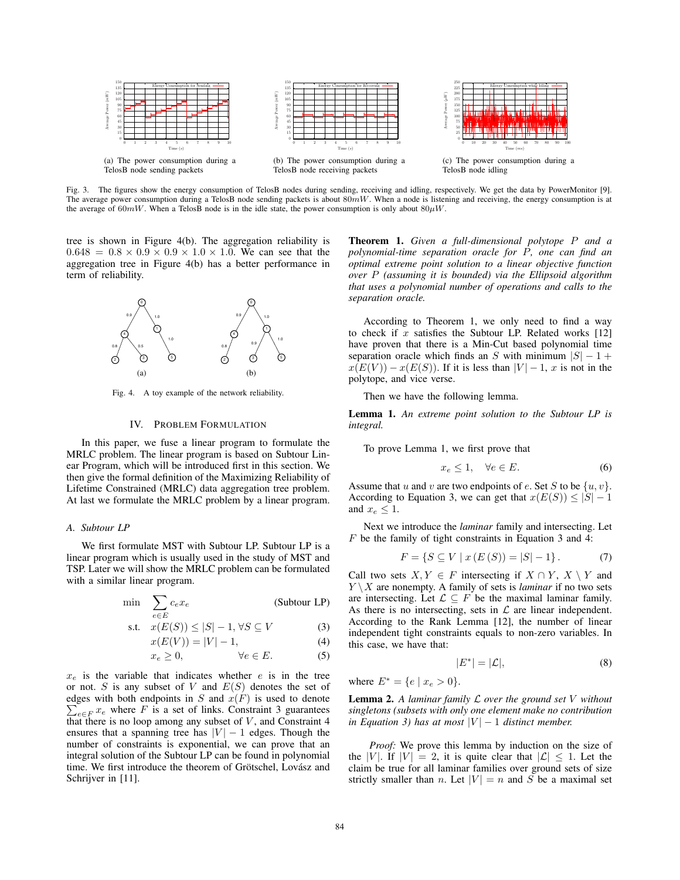

Fig. 3. The figures show the energy consumption of TelosB nodes during sending, receiving and idling, respectively. We get the data by PowerMonitor [9]. The average power consumption during a TelosB node sending packets is about  $80mW$ . When a node is listening and receiving, the energy consumption is at the average of  $60mW$ . When a TelosB node is in the idle state, the power consumption is only about  $80\mu W$ .

tree is shown in Figure 4(b). The aggregation reliability is  $0.648 = 0.8 \times 0.9 \times 0.9 \times 1.0 \times 1.0$ . We can see that the aggregation tree in Figure 4(b) has a better performance in term of reliability.



Fig. 4. A toy example of the network reliability.

#### IV. PROBLEM FORMULATION

In this paper, we fuse a linear program to formulate the MRLC problem. The linear program is based on Subtour Linear Program, which will be introduced first in this section. We then give the formal definition of the Maximizing Reliability of Lifetime Constrained (MRLC) data aggregation tree problem. At last we formulate the MRLC problem by a linear program.

## *A. Subtour LP*

We first formulate MST with Subtour LP. Subtour LP is a linear program which is usually used in the study of MST and TSP. Later we will show the MRLC problem can be formulated with a similar linear program.

$$
\min \quad \sum_{e \in E} c_e x_e \tag{Subtour LP}
$$

$$
\text{s.t.} \quad x(E(S)) \le |S| - 1, \forall S \subseteq V \tag{3}
$$

$$
x(E(V)) = |V| - 1,
$$
 (4)

$$
x_e \ge 0, \qquad \forall e \in E. \tag{5}
$$

 $x_e$  is the variable that indicates whether  $e$  is in the tree or not.  $S$  is any subset of  $V$  and  $E(S)$  denotes the set of  $\sum_{e \in F}^{\infty} x_e$  where F is a set of links. Constraint 3 guarantees edges with both endpoints in  $S$  and  $x(F)$  is used to denote that there is no loop among any subset of  $V$ , and Constraint 4 ensures that a spanning tree has  $|V| - 1$  edges. Though the number of constraints is exponential, we can prove that an integral solution of the Subtour LP can be found in polynomial time. We first introduce the theorem of Grötschel, Lovász and Schrijver in [11].

Theorem 1. *Given a full-dimensional polytope* P *and a polynomial-time separation oracle for* P*, one can find an optimal extreme point solution to a linear objective function over* P *(assuming it is bounded) via the Ellipsoid algorithm that uses a polynomial number of operations and calls to the separation oracle.*

According to Theorem 1, we only need to find a way to check if  $x$  satisfies the Subtour LP. Related works  $[12]$ have proven that there is a Min-Cut based polynomial time separation oracle which finds an S with minimum  $|S| - 1 +$  $x(E(V)) - x(E(S))$ . If it is less than  $|V| - 1$ , x is not in the polytope, and vice verse.

Then we have the following lemma.

Lemma 1. *An extreme point solution to the Subtour LP is integral.*

To prove Lemma 1, we first prove that

$$
x_e \le 1, \quad \forall e \in E. \tag{6}
$$

Assume that u and v are two endpoints of e. Set S to be  $\{u, v\}$ . According to Equation 3, we can get that  $x(E(S)) \leq |\tilde{S}| - 1$ and  $x_e \leq 1$ .

Next we introduce the *laminar* family and intersecting. Let F be the family of tight constraints in Equation 3 and 4:

$$
F = \{ S \subseteq V \mid x \left( E \left( S \right) \right) = |S| - 1 \}. \tag{7}
$$

Call two sets  $X, Y \in F$  intersecting if  $X \cap Y, X \setminus Y$  and  $Y \setminus X$  are nonempty. A family of sets is *laminar* if no two sets are intersecting. Let  $\mathcal{L} \subseteq F$  be the maximal laminar family. As there is no intersecting, sets in  $\mathcal L$  are linear independent. According to the Rank Lemma [12], the number of linear independent tight constraints equals to non-zero variables. In this case, we have that:

$$
|E^*| = |\mathcal{L}|,\tag{8}
$$

where  $E^* = \{e \mid x_e > 0\}.$ 

Lemma 2. *A laminar family* L *over the ground set* V *without singletons (subsets with only one element make no contribution in Equation 3) has at most*  $|V| - 1$  *distinct member.* 

*Proof:* We prove this lemma by induction on the size of the |V|. If  $|V| = 2$ , it is quite clear that  $|\mathcal{L}| \leq 1$ . Let the claim be true for all laminar families over ground sets of size strictly smaller than n. Let  $|V| = n$  and S be a maximal set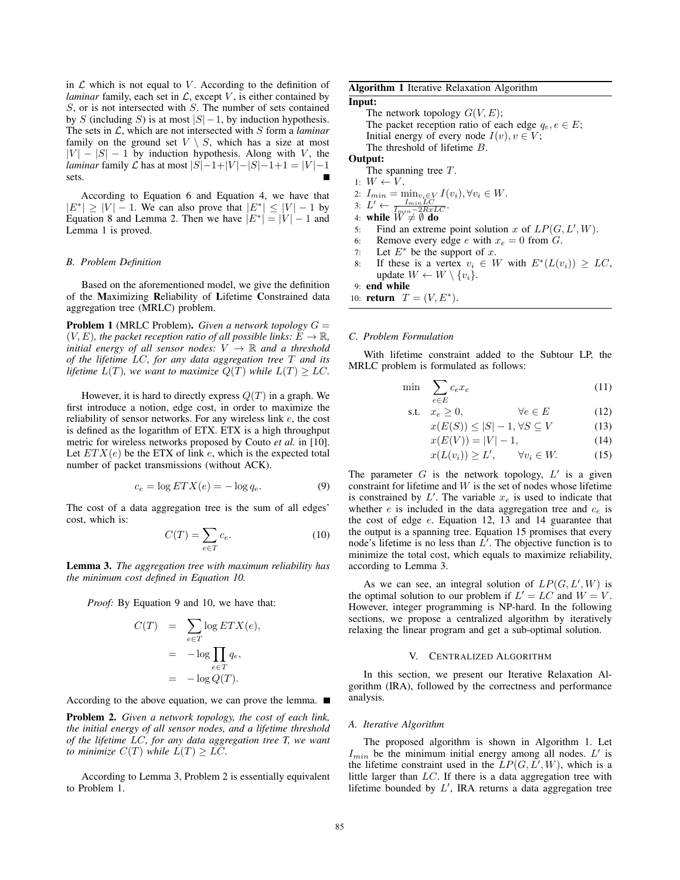in  $\mathcal L$  which is not equal to V. According to the definition of *laminar* family, each set in  $\mathcal{L}$ , except  $V$ , is either contained by S, or is not intersected with S. The number of sets contained by S (including S) is at most  $|S|$  – 1, by induction hypothesis. The sets in L, which are not intersected with S form a *laminar* family on the ground set  $V \setminus S$ , which has a size at most  $|V| - |S| - 1$  by induction hypothesis. Along with V, the *laminar* family  $\mathcal L$  has at most  $|S|-1+|V|-|S|-1+1=|V|-1$ sets.

According to Equation 6 and Equation 4, we have that  $|E^*| \geq |V| - 1$ . We can also prove that  $|E^*| \leq |V| - 1$  by Equation 8 and Lemma 2. Then we have  $|E^*| = |V| - 1$  and Lemma 1 is proved.

# *B. Problem Definition*

Based on the aforementioned model, we give the definition of the Maximizing Reliability of Lifetime Constrained data aggregation tree (MRLC) problem.

**Problem 1** (MRLC Problem). *Given a network topology*  $G =$  $(V, E)$ *, the packet reception ratio of all possible links:*  $E \to \mathbb{R}$ *, initial energy of all sensor nodes:*  $V \rightarrow \mathbb{R}$  *and a threshold of the lifetime* LC*, for any data aggregation tree* T *and its lifetime*  $L(T)$ *, we want to maximize*  $Q(T)$  *while*  $L(T) \geq LC$ *.* 

However, it is hard to directly express  $Q(T)$  in a graph. We first introduce a notion, edge cost, in order to maximize the reliability of sensor networks. For any wireless link e, the cost is defined as the logarithm of ETX. ETX is a high throughput metric for wireless networks proposed by Couto *et al.* in [10]. Let  $ETX(e)$  be the ETX of link e, which is the expected total number of packet transmissions (without ACK).

$$
c_e = \log ETX(e) = -\log q_e. \tag{9}
$$

The cost of a data aggregation tree is the sum of all edges' cost, which is:

$$
C(T) = \sum_{e \in T} c_e.
$$
 (10)

Lemma 3. *The aggregation tree with maximum reliability has the minimum cost defined in Equation 10.*

*Proof:* By Equation 9 and 10, we have that:

$$
C(T) = \sum_{e \in T} \log ETX(e),
$$
  
= -log  $\prod_{e \in T} q_e$ ,  
= -log  $Q(T)$ .

According to the above equation, we can prove the lemma. ■

Problem 2. *Given a network topology, the cost of each link, the initial energy of all sensor nodes, and a lifetime threshold of the lifetime* LC*, for any data aggregation tree T, we want to minimize*  $C(T)$  *while*  $L(T) \geq LC$ *.* 

According to Lemma 3, Problem 2 is essentially equivalent to Problem 1.

|  |  |  | Algorithm 1 Iterative Relaxation Algorithm |  |
|--|--|--|--------------------------------------------|--|
|--|--|--|--------------------------------------------|--|

## Input:

The network topology  $G(V, E)$ ; The packet reception ratio of each edge  $q_e, e \in E$ ; Initial energy of every node  $I(v), v \in V$ ; The threshold of lifetime B. Output: The spanning tree T. 1:  $W \leftarrow V$ . 2:  $I_{min} = \min_{v_i \in V} I(v_i), \forall v_i \in W$ .<br>3:  $L' \leftarrow \frac{I_{min} LC}{I_{min} - 2RxLC}$ .<br>4: while  $W \neq \emptyset$  do 5: Find an extreme point solution x of  $LP(G, L', W)$ .

6: Remove every edge e with  $x_e = 0$  from G.

7: Let  $E^*$  be the support of x.

8: If these is a vertex  $v_i \in W$  with  $E^*(L(v_i)) \geq LC$ , update  $W \leftarrow W \setminus \{v_i\}.$ 

9: end while

10: **return**  $T = (V, E^*)$ .

## *C. Problem Formulation*

With lifetime constraint added to the Subtour LP, the MRLC problem is formulated as follows:

$$
\min \sum_{e \in E} c_e x_e \tag{11}
$$

$$
\text{s.t.} \quad x_e \ge 0, \qquad \qquad \forall e \in E \tag{12}
$$

$$
x(E(S)) \le |S| - 1, \forall S \subseteq V \tag{13}
$$

$$
x(E(V)) = |V| - 1,
$$
 (14)

$$
x(L(v_i)) \ge L', \qquad \forall v_i \in W. \tag{15}
$$

The parameter  $G$  is the network topology,  $L'$  is a given constraint for lifetime and  $W$  is the set of nodes whose lifetime is constrained by  $L'$ . The variable  $x_e$  is used to indicate that whether  $e$  is included in the data aggregation tree and  $c_e$  is the cost of edge  $e$ . Equation 12, 13 and 14 guarantee that the output is a spanning tree. Equation 15 promises that every node's lifetime is no less than  $\vec{L'}$ . The objective function is to minimize the total cost, which equals to maximize reliability, according to Lemma 3.

As we can see, an integral solution of  $LP(G, L', W)$  is the optimal solution to our problem if  $L' = LC$  and  $W = V$ . However, integer programming is NP-hard. In the following sections, we propose a centralized algorithm by iteratively relaxing the linear program and get a sub-optimal solution.

## V. CENTRALIZED ALGORITHM

In this section, we present our Iterative Relaxation Algorithm (IRA), followed by the correctness and performance analysis.

## *A. Iterative Algorithm*

The proposed algorithm is shown in Algorithm 1. Let  $I_{min}$  be the minimum initial energy among all nodes.  $L'$  is the lifetime constraint used in the  $LP(G, L', W)$ , which is a little larger than LC. If there is a data aggregation tree with lifetime bounded by  $L'$ , IRA returns a data aggregation tree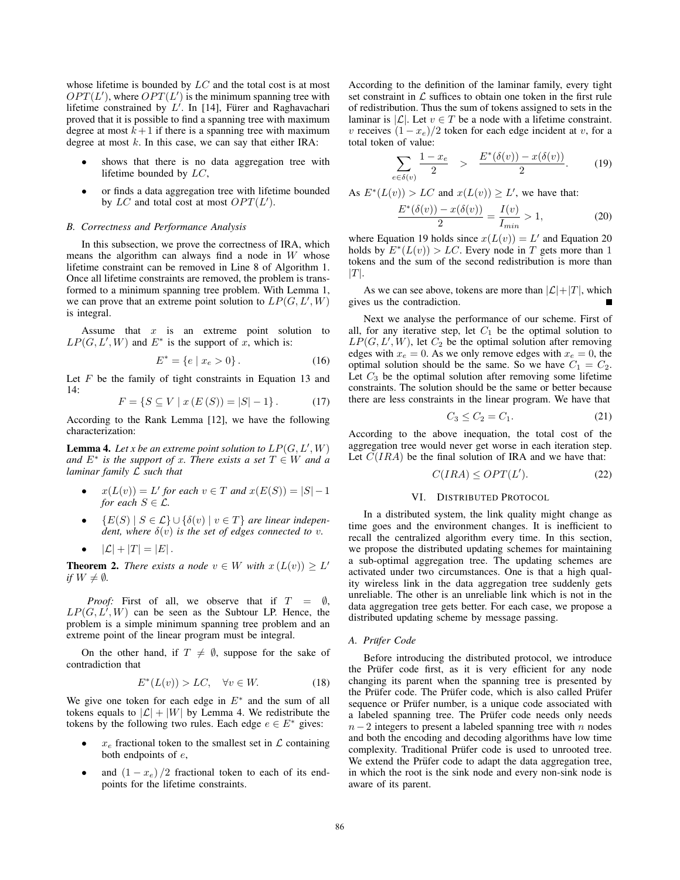whose lifetime is bounded by  $LC$  and the total cost is at most  $OPT(L')$ , where  $OPT(L')$  is the minimum spanning tree with lifetime constrained by  $L'$ . In [14], Fürer and Raghavachari proved that it is possible to find a spanning tree with maximum degree at most  $k+1$  if there is a spanning tree with maximum degree at most  $k$ . In this case, we can say that either IRA:

- shows that there is no data aggregation tree with lifetime bounded by LC,
- or finds a data aggregation tree with lifetime bounded by  $LC$  and total cost at most  $OPT(L')$ .

## *B. Correctness and Performance Analysis*

In this subsection, we prove the correctness of IRA, which means the algorithm can always find a node in W whose lifetime constraint can be removed in Line 8 of Algorithm 1. Once all lifetime constraints are removed, the problem is transformed to a minimum spanning tree problem. With Lemma 1, we can prove that an extreme point solution to  $LP(G, L', W)$ is integral.

Assume that  $x$  is an extreme point solution to  $LP(G, L', W)$  and  $E^*$  is the support of x, which is:

$$
E^* = \{ e \mid x_e > 0 \}.
$$
 (16)

Let  $F$  be the family of tight constraints in Equation 13 and  $14:$ 

$$
F = \{ S \subseteq V \mid x \left( E \left( S \right) \right) = |S| - 1 \}.
$$
 (17)

According to the Rank Lemma [12], we have the following characterization:

**Lemma 4.** Let x be an extreme point solution to  $LP(G, L', W)$ *and*  $E^*$  *is the support of x. There exists a set*  $T \in W$  *and a laminar family* L *such that*

- $x(L(v)) = L'$  for each  $v \in T$  and  $x(E(S)) = |S| 1$ *for each*  $S \in \mathcal{L}$ *.*
- ${E(S) | S \in \mathcal{L}} \cup {\delta(v) | v \in T}$  *are linear independent, where*  $\delta(v)$  *is the set of edges connected to v.*

$$
\bullet \quad |\mathcal{L}| + |T| = |E|.
$$

**Theorem 2.** *There exists a node*  $v \in W$  *with*  $x(L(v)) \geq L'$ *if*  $W \neq \emptyset$ *.* 

*Proof:* First of all, we observe that if  $T = \emptyset$ ,  $LP(G, L^{\prime}, W)$  can be seen as the Subtour LP. Hence, the problem is a simple minimum spanning tree problem and an extreme point of the linear program must be integral.

On the other hand, if  $T \neq \emptyset$ , suppose for the sake of contradiction that

$$
E^*(L(v)) > LC, \quad \forall v \in W.
$$
 (18)

We give one token for each edge in  $E^*$  and the sum of all tokens equals to  $|\mathcal{L}| + |W|$  by Lemma 4. We redistribute the tokens by the following two rules. Each edge  $e \in E^*$  gives:

- $x_e$  fractional token to the smallest set in  $\mathcal L$  containing both endpoints of e,
- and  $(1 x_e)/2$  fractional token to each of its endpoints for the lifetime constraints.

According to the definition of the laminar family, every tight set constraint in  $\mathcal L$  suffices to obtain one token in the first rule of redistribution. Thus the sum of tokens assigned to sets in the laminar is  $|\mathcal{L}|$ . Let  $v \in T$  be a node with a lifetime constraint. v receives  $(1-x_e)/2$  token for each edge incident at v, for a total token of value:

$$
\sum_{e \in \delta(v)} \frac{1 - x_e}{2} > \frac{E^*(\delta(v)) - x(\delta(v))}{2}.
$$
 (19)

As  $E^*(L(v)) > LC$  and  $x(L(v)) \geq L'$ , we have that:

$$
\frac{E^*(\delta(v)) - x(\delta(v))}{2} = \frac{I(v)}{I_{min}} > 1,
$$
\n(20)

where Equation 19 holds since  $x(L(v)) = L'$  and Equation 20 holds by  $E^*(L(v)) > LC$ . Every node in T gets more than 1 tokens and the sum of the second redistribution is more than  $|T|$ .

As we can see above, tokens are more than  $|\mathcal{L}|+|T|$ , which gives us the contradiction.

Next we analyse the performance of our scheme. First of all, for any iterative step, let  $C_1$  be the optimal solution to  $LP(G, L', W)$ , let  $C_2$  be the optimal solution after removing edges with  $x_e = 0$ . As we only remove edges with  $x_e = 0$ , the optimal solution should be the same. So we have  $C_1 = C_2$ . Let  $C_3$  be the optimal solution after removing some lifetime constraints. The solution should be the same or better because there are less constraints in the linear program. We have that

$$
C_3 \le C_2 = C_1. \tag{21}
$$

According to the above inequation, the total cost of the aggregation tree would never get worse in each iteration step. Let  $C(IRA)$  be the final solution of IRA and we have that:

$$
C(IRA) \le OPT(L'). \tag{22}
$$

#### VI. DISTRIBUTED PROTOCOL

In a distributed system, the link quality might change as time goes and the environment changes. It is inefficient to recall the centralized algorithm every time. In this section, we propose the distributed updating schemes for maintaining a sub-optimal aggregation tree. The updating schemes are activated under two circumstances. One is that a high quality wireless link in the data aggregation tree suddenly gets unreliable. The other is an unreliable link which is not in the data aggregation tree gets better. For each case, we propose a distributed updating scheme by message passing.

# *A. Prufer Code ¨*

Before introducing the distributed protocol, we introduce the Prüfer code first, as it is very efficient for any node changing its parent when the spanning tree is presented by the Prüfer code. The Prüfer code, which is also called Prüfer sequence or Prüfer number, is a unique code associated with a labeled spanning tree. The Prüfer code needs only needs  $n-2$  integers to present a labeled spanning tree with n nodes and both the encoding and decoding algorithms have low time complexity. Traditional Prüfer code is used to unrooted tree. We extend the Prüfer code to adapt the data aggregation tree, in which the root is the sink node and every non-sink node is aware of its parent.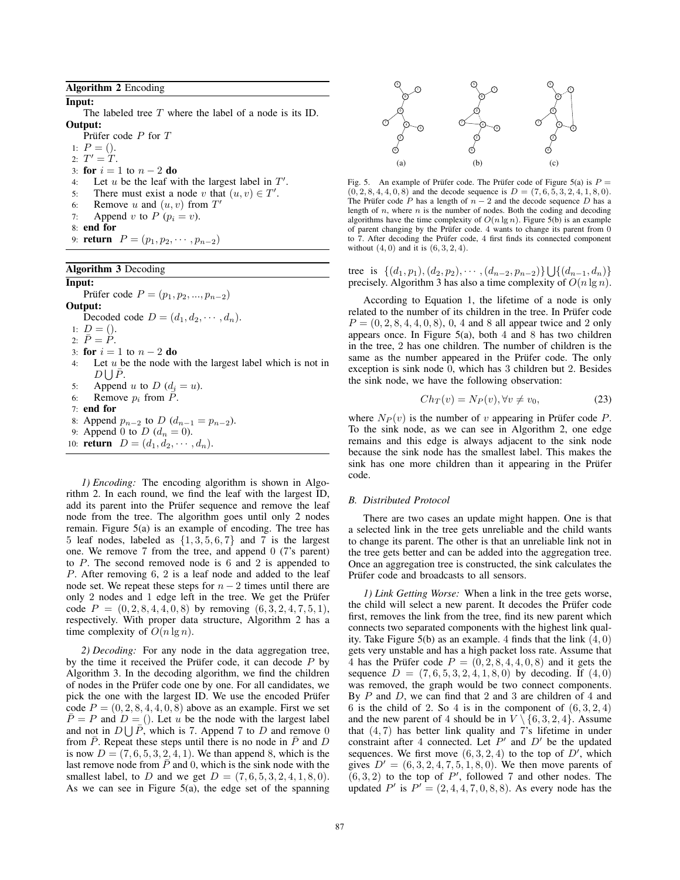## Algorithm 2 Encoding

Input: The labeled tree  $T$  where the label of a node is its ID. Output:

Prüfer code  $P$  for  $T$ 

1:  $P = ()$ .

- 2:  $T' = T$ .
- 3: for  $i = 1$  to  $n 2$  do
- 4: Let u be the leaf with the largest label in  $T'$ .
- 5: There must exist a node v that  $(u, v) \in T'$ .
- 6: Remove u and  $(u, v)$  from  $T'$ 7: Append v to  $P(p_i = v)$ .
- 8: end for
- 9: **return**  $P = (p_1, p_2, \cdots, p_{n-2})$

# Algorithm 3 Decoding

Input:

Prüfer code  $P = (p_1, p_2, ..., p_{n-2})$ 

# Output:

Decoded code  $D = (d_1, d_2, \cdots, d_n)$ .

- 1:  $D = ()$ .
- 2:  $\bar{P} = \tilde{P}$ .
- 3: for  $i = 1$  to  $n 2$  do
- Let  $u$  be the node with the largest label which is not in  $D \cup P.$
- 5: Append u to  $D$   $(d_i = u)$ .
- 6: Remove  $p_i$  from  $P$ .
- 7: end for
- 8: Append  $p_{n-2}$  to  $D(d_{n-1} = p_{n-2})$ .
- 9: Append 0 to  $D(d_n = 0)$ .
- 10: **return**  $D = (d_1, d_2, \cdots, d_n)$ .

*1) Encoding:* The encoding algorithm is shown in Algorithm 2. In each round, we find the leaf with the largest ID, add its parent into the Prüfer sequence and remove the leaf node from the tree. The algorithm goes until only 2 nodes remain. Figure 5(a) is an example of encoding. The tree has 5 leaf nodes, labeled as  $\{1, 3, 5, 6, 7\}$  and 7 is the largest one. We remove 7 from the tree, and append 0 (7's parent) to P. The second removed node is 6 and 2 is appended to P. After removing 6, 2 is a leaf node and added to the leaf node set. We repeat these steps for  $n - 2$  times until there are only  $2$  nodes and  $1$  edge left in the tree. We get the Prüfer code  $P = (0, 2, 8, 4, 4, 0, 8)$  by removing  $(6, 3, 2, 4, 7, 5, 1)$ , respectively. With proper data structure, Algorithm 2 has a time complexity of  $O(n \lg n)$ .

*2) Decoding:* For any node in the data aggregation tree, by the time it received the Prüfer code, it can decode  *by* Algorithm 3. In the decoding algorithm, we find the children of nodes in the Prüfer code one by one. For all candidates, we pick the one with the largest ID. We use the encoded Prüfer code  $P = (0, 2, 8, 4, 4, 0, 8)$  above as an example. First we set  $P = P$  and  $D = ($ ). Let u be the node with the largest label and not in  $D \bigcup \overline{P}$ , which is 7. Append 7 to D and remove 0 from  $\overline{P}$ . Repeat these steps until there is no node in  $\overline{P}$  and D is now  $D = (7, 6, 5, 3, 2, 4, 1)$ . We than append 8, which is the last remove node from  $\bar{P}$  and 0, which is the sink node with the smallest label, to D and we get  $D = (7, 6, 5, 3, 2, 4, 1, 8, 0)$ . As we can see in Figure  $5(a)$ , the edge set of the spanning



Fig. 5. An example of Prüfer code. The Prüfer code of Figure 5(a) is  $P =$  $(0, 2, 8, 4, 4, 0, 8)$  and the decode sequence is  $D = (7, 6, 5, 3, 2, 4, 1, 8, 0)$ . The Prüfer code  $P$  has a length of  $n - 2$  and the decode sequence  $D$  has a length of  $n$ , where  $n$  is the number of nodes. Both the coding and decoding algorithms have the time complexity of  $O(n \lg n)$ . Figure 5(b) is an example of parent changing by the Prüfer code.  $4$  wants to change its parent from 0 to 7. After decoding the Prüfer code, 4 first finds its connected component without  $(4, 0)$  and it is  $(6, 3, 2, 4)$ .

tree is  $\{(d_1, p_1), (d_2, p_2), \cdots, (d_{n-2}, p_{n-2})\} \bigcup \{(d_{n-1}, d_n)\}$ precisely. Algorithm 3 has also a time complexity of  $O(n \lg n)$ .

According to Equation 1, the lifetime of a node is only related to the number of its children in the tree. In Prüfer code  $P = (0, 2, 8, 4, 4, 0, 8), 0, 4$  and 8 all appear twice and 2 only appears once. In Figure 5(a), both 4 and 8 has two children in the tree, 2 has one children. The number of children is the same as the number appeared in the Prüfer code. The only exception is sink node 0, which has 3 children but 2. Besides the sink node, we have the following observation:

$$
Ch_T(v) = N_P(v), \forall v \neq v_0,
$$
\n(23)

where  $N_P(v)$  is the number of v appearing in Prüfer code P. To the sink node, as we can see in Algorithm 2, one edge remains and this edge is always adjacent to the sink node because the sink node has the smallest label. This makes the sink has one more children than it appearing in the Prüfer code.

## *B. Distributed Protocol*

There are two cases an update might happen. One is that a selected link in the tree gets unreliable and the child wants to change its parent. The other is that an unreliable link not in the tree gets better and can be added into the aggregation tree. Once an aggregation tree is constructed, the sink calculates the Prüfer code and broadcasts to all sensors.

*1) Link Getting Worse:* When a link in the tree gets worse, the child will select a new parent. It decodes the Prüfer code first, removes the link from the tree, find its new parent which connects two separated components with the highest link quality. Take Figure  $5(b)$  as an example. 4 finds that the link  $(4, 0)$ gets very unstable and has a high packet loss rate. Assume that 4 has the Prüfer code  $P = (0, 2, 8, 4, 4, 0, 8)$  and it gets the sequence  $D = (7, 6, 5, 3, 2, 4, 1, 8, 0)$  by decoding. If  $(4, 0)$ was removed, the graph would be two connect components. By  $P$  and  $D$ , we can find that  $2$  and  $3$  are children of  $4$  and 6 is the child of 2. So 4 is in the component of  $(6, 3, 2, 4)$ and the new parent of 4 should be in  $V \setminus \{6, 3, 2, 4\}$ . Assume that  $(4, 7)$  has better link quality and  $7s$  lifetime in under constraint after 4 connected. Let  $P'$  and  $D'$  be the updated sequences. We first move  $(6, 3, 2, 4)$  to the top of  $D'$ , which gives  $D' = (6, 3, 2, 4, 7, 5, 1, 8, 0)$ . We then move parents of  $(6, 3, 2)$  to the top of  $P'$ , followed 7 and other nodes. The updated P' is  $P' = (2, 4, 4, 7, 0, 8, 8)$ . As every node has the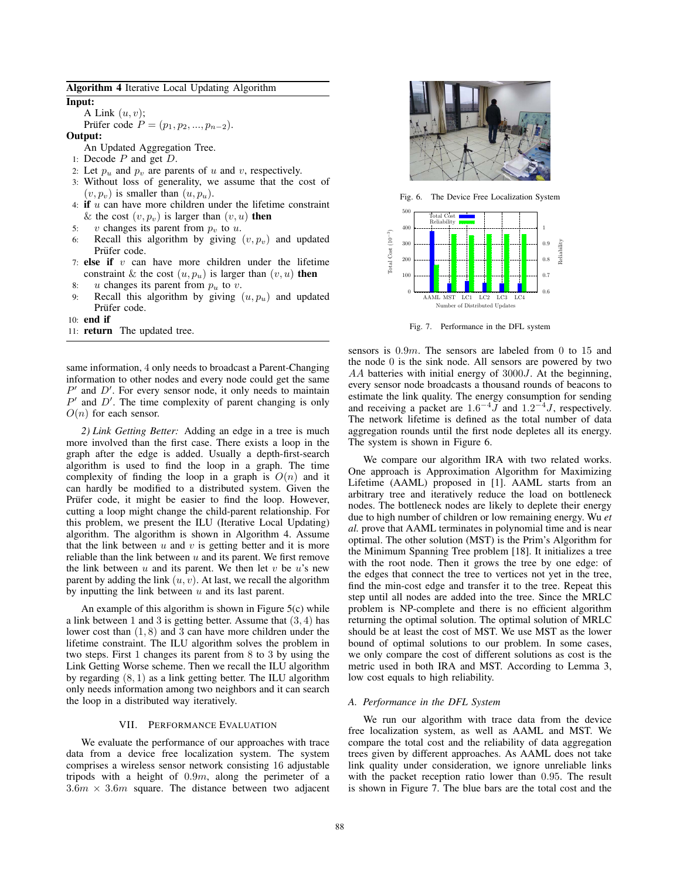Algorithm 4 Iterative Local Updating Algorithm

Input:

A Link  $(u, v)$ ;

Prüfer code  $P = (p_1, p_2, ..., p_{n-2}).$ 

# Output:

- An Updated Aggregation Tree.
- 1: Decode  $P$  and get  $D$ .
- 2: Let  $p_u$  and  $p_v$  are parents of u and v, respectively.
- 3: Without loss of generality, we assume that the cost of  $(v, p_v)$  is smaller than  $(u, p_u)$ .
- 4: if  $u$  can have more children under the lifetime constraint & the cost  $(v, p_v)$  is larger than  $(v, u)$  then
- 5: v changes its parent from  $p_v$  to u.
- 6: Recall this algorithm by giving  $(v, p_v)$  and updated Prüfer code.
- 7: else if  $v$  can have more children under the lifetime constraint & the cost  $(u, p_u)$  is larger than  $(v, u)$  then
- 8:  $u$  changes its parent from  $p_u$  to  $v$ .
- 9: Recall this algorithm by giving  $(u, p_u)$  and updated Prüfer code.
- 10: end if
- 11: return The updated tree.

same information, 4 only needs to broadcast a Parent-Changing information to other nodes and every node could get the same  $P'$  and  $D'$ . For every sensor node, it only needs to maintain  $P'$  and  $D'$ . The time complexity of parent changing is only  $O(n)$  for each sensor.

*2) Link Getting Better:* Adding an edge in a tree is much more involved than the first case. There exists a loop in the graph after the edge is added. Usually a depth-first-search algorithm is used to find the loop in a graph. The time complexity of finding the loop in a graph is  $O(n)$  and it can hardly be modified to a distributed system. Given the Prüfer code, it might be easier to find the loop. However, cutting a loop might change the child-parent relationship. For this problem, we present the ILU (Iterative Local Updating) algorithm. The algorithm is shown in Algorithm 4. Assume that the link between  $u$  and  $v$  is getting better and it is more reliable than the link between  $u$  and its parent. We first remove the link between  $u$  and its parent. We then let  $v$  be  $u$ 's new parent by adding the link  $(u, v)$ . At last, we recall the algorithm by inputting the link between  $u$  and its last parent.

An example of this algorithm is shown in Figure 5(c) while a link between 1 and 3 is getting better. Assume that  $(3, 4)$  has lower cost than (1, 8) and 3 can have more children under the lifetime constraint. The ILU algorithm solves the problem in two steps. First 1 changes its parent from 8 to 3 by using the Link Getting Worse scheme. Then we recall the ILU algorithm by regarding  $(8, 1)$  as a link getting better. The ILU algorithm only needs information among two neighbors and it can search the loop in a distributed way iteratively.

## VII. PERFORMANCE EVALUATION

We evaluate the performance of our approaches with trace data from a device free localization system. The system comprises a wireless sensor network consisting 16 adjustable tripods with a height of  $0.9m$ , along the perimeter of a  $3.6m \times 3.6m$  square. The distance between two adjacent



Fig. 6. The Device Free Localization System



Fig. 7. Performance in the DFL system

sensors is  $0.9m$ . The sensors are labeled from 0 to 15 and the node 0 is the sink node. All sensors are powered by two AA batteries with initial energy of 3000J. At the beginning, every sensor node broadcasts a thousand rounds of beacons to estimate the link quality. The energy consumption for sending and receiving a packet are  $1.6^{-4}$  J and  $1.2^{-4}$  J, respectively. The network lifetime is defined as the total number of data aggregation rounds until the first node depletes all its energy. The system is shown in Figure 6.

We compare our algorithm IRA with two related works. One approach is Approximation Algorithm for Maximizing Lifetime (AAML) proposed in [1]. AAML starts from an arbitrary tree and iteratively reduce the load on bottleneck nodes. The bottleneck nodes are likely to deplete their energy due to high number of children or low remaining energy. Wu *et al.* prove that AAML terminates in polynomial time and is near optimal. The other solution (MST) is the Prim's Algorithm for the Minimum Spanning Tree problem [18]. It initializes a tree with the root node. Then it grows the tree by one edge: of the edges that connect the tree to vertices not yet in the tree, find the min-cost edge and transfer it to the tree. Repeat this step until all nodes are added into the tree. Since the MRLC problem is NP-complete and there is no efficient algorithm returning the optimal solution. The optimal solution of MRLC should be at least the cost of MST. We use MST as the lower bound of optimal solutions to our problem. In some cases, we only compare the cost of different solutions as cost is the metric used in both IRA and MST. According to Lemma 3, low cost equals to high reliability.

# *A. Performance in the DFL System*

We run our algorithm with trace data from the device free localization system, as well as AAML and MST. We compare the total cost and the reliability of data aggregation trees given by different approaches. As AAML does not take link quality under consideration, we ignore unreliable links with the packet reception ratio lower than 0.95. The result is shown in Figure 7. The blue bars are the total cost and the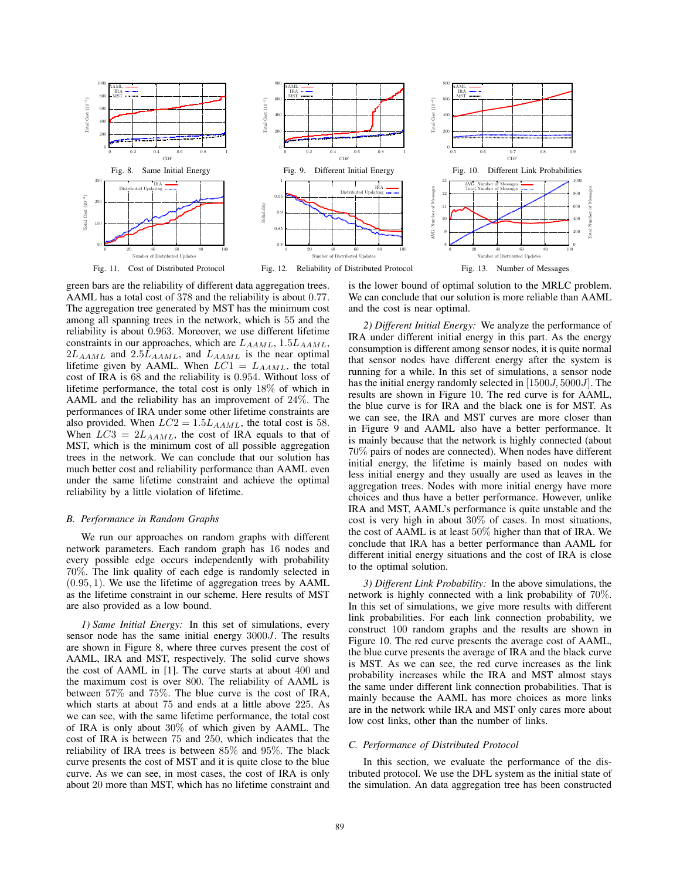

Fig. 11. Cost of Distributed Protocol



green bars are the reliability of different data aggregation trees. AAML has a total cost of 378 and the reliability is about 0.77. The aggregation tree generated by MST has the minimum cost among all spanning trees in the network, which is 55 and the reliability is about 0.963. Moreover, we use different lifetime constraints in our approaches, which are  $L_{AAML}$ ,  $1.5L_{AAML}$ ,  $2L_{AAML}$  and  $2.5L_{AAML}$ , and  $L_{AAML}$  is the near optimal lifetime given by AAML. When  $LC1 = L_{AAML}$ , the total cost of IRA is 68 and the reliability is 0.954. Without loss of lifetime performance, the total cost is only 18% of which in AAML and the reliability has an improvement of 24%. The performances of IRA under some other lifetime constraints are also provided. When  $LC2=1.5L_{AAML}$ , the total cost is 58. When  $LC3=2L_{AAML}$ , the cost of IRA equals to that of MST, which is the minimum cost of all possible aggregation trees in the network. We can conclude that our solution has much better cost and reliability performance than AAML even under the same lifetime constraint and achieve the optimal reliability by a little violation of lifetime.

## *B. Performance in Random Graphs*

We run our approaches on random graphs with different network parameters. Each random graph has 16 nodes and every possible edge occurs independently with probability 70%. The link quality of each edge is randomly selected in  $(0.95, 1)$ . We use the lifetime of aggregation trees by AAML as the lifetime constraint in our scheme. Here results of MST are also provided as a low bound.

*1) Same Initial Energy:* In this set of simulations, every sensor node has the same initial energy 3000J. The results are shown in Figure 8, where three curves present the cost of AAML, IRA and MST, respectively. The solid curve shows the cost of AAML in [1]. The curve starts at about 400 and the maximum cost is over 800. The reliability of AAML is between 57% and 75%. The blue curve is the cost of IRA, which starts at about 75 and ends at a little above 225. As we can see, with the same lifetime performance, the total cost of IRA is only about 30% of which given by AAML. The cost of IRA is between 75 and 250, which indicates that the reliability of IRA trees is between 85% and 95%. The black curve presents the cost of MST and it is quite close to the blue curve. As we can see, in most cases, the cost of IRA is only about 20 more than MST, which has no lifetime constraint and

is the lower bound of optimal solution to the MRLC problem. We can conclude that our solution is more reliable than AAML and the cost is near optimal.

*2) Different Initial Energy:* We analyze the performance of IRA under different initial energy in this part. As the energy consumption is different among sensor nodes, it is quite normal that sensor nodes have different energy after the system is running for a while. In this set of simulations, a sensor node has the initial energy randomly selected in [1500*J*, 5000*J*]. The results are shown in Figure 10. The red curve is for AAML, the blue curve is for IRA and the black one is for MST. As we can see, the IRA and MST curves are more closer than in Figure 9 and AAML also have a better performance. It is mainly because that the network is highly connected (about 70% pairs of nodes are connected). When nodes have different initial energy, the lifetime is mainly based on nodes with less initial energy and they usually are used as leaves in the aggregation trees. Nodes with more initial energy have more choices and thus have a better performance. However, unlike IRA and MST, AAML's performance is quite unstable and the cost is very high in about 30% of cases. In most situations, the cost of AAML is at least 50% higher than that of IRA. We conclude that IRA has a better performance than AAML for different initial energy situations and the cost of IRA is close to the optimal solution.

*3) Different Link Probability:* In the above simulations, the network is highly connected with a link probability of 70%. In this set of simulations, we give more results with different link probabilities. For each link connection probability, we construct 100 random graphs and the results are shown in Figure 10. The red curve presents the average cost of AAML, the blue curve presents the average of IRA and the black curve is MST. As we can see, the red curve increases as the link probability increases while the IRA and MST almost stays the same under different link connection probabilities. That is mainly because the AAML has more choices as more links are in the network while IRA and MST only cares more about low cost links, other than the number of links.

# *C. Performance of Distributed Protocol*

In this section, we evaluate the performance of the distributed protocol. We use the DFL system as the initial state of the simulation. An data aggregation tree has been constructed